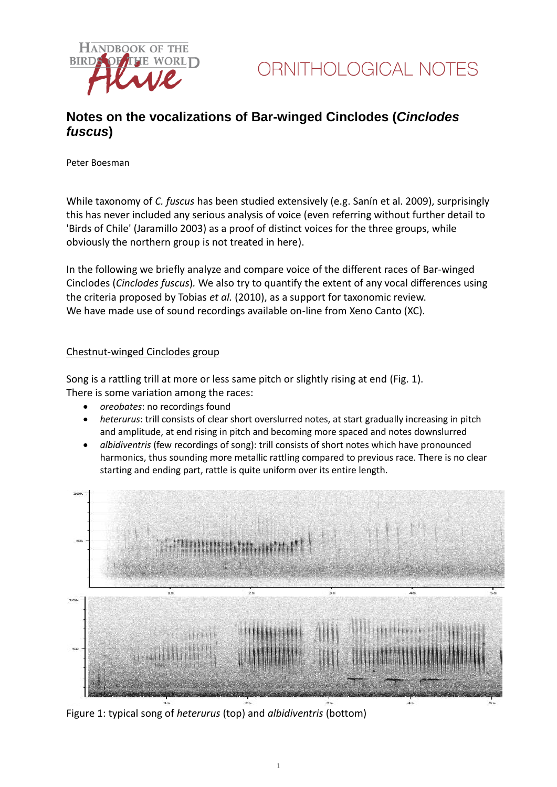

## **Notes on the vocalizations of Bar-winged Cinclodes (***Cinclodes fuscus***)**

Peter Boesman

While taxonomy of *C. fuscus* has been studied extensively (e.g. Sanín et al. 2009), surprisingly this has never included any serious analysis of voice (even referring without further detail to 'Birds of Chile' (Jaramillo 2003) as a proof of distinct voices for the three groups, while obviously the northern group is not treated in here).

In the following we briefly analyze and compare voice of the different races of Bar-winged Cinclodes (*Cinclodes fuscus*)*.* We also try to quantify the extent of any vocal differences using the criteria proposed by Tobias *et al.* (2010), as a support for taxonomic review. We have made use of sound recordings available on-line from Xeno Canto (XC).

### Chestnut-winged Cinclodes group

Song is a rattling trill at more or less same pitch or slightly rising at end (Fig. 1). There is some variation among the races:

- *oreobates*: no recordings found
- *heterurus*: trill consists of clear short overslurred notes, at start gradually increasing in pitch and amplitude, at end rising in pitch and becoming more spaced and notes downslurred
- *albidiventris* (few recordings of song): trill consists of short notes which have pronounced harmonics, thus sounding more metallic rattling compared to previous race. There is no clear starting and ending part, rattle is quite uniform over its entire length.



Figure 1: typical song of *heterurus* (top) and *albidiventris* (bottom)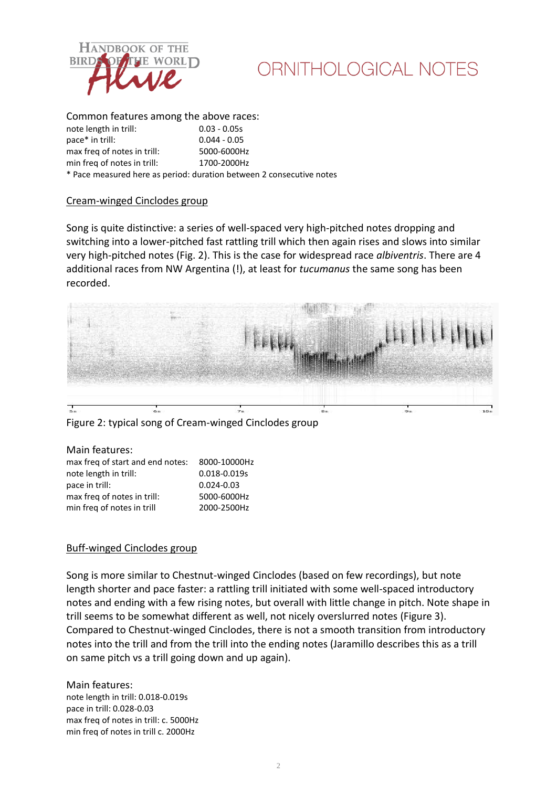

# ORNITHOLOGICAL NOTES

#### Common features among the above races:

note length in trill: 0.03 - 0.05s pace\* in trill: 0.044 - 0.05 max freq of notes in trill: 5000-6000Hz min freq of notes in trill: 1700-2000Hz \* Pace measured here as period: duration between 2 consecutive notes

#### Cream-winged Cinclodes group

Song is quite distinctive: a series of well-spaced very high-pitched notes dropping and switching into a lower-pitched fast rattling trill which then again rises and slows into similar very high-pitched notes (Fig. 2). This is the case for widespread race *albiventris*. There are 4 additional races from NW Argentina (!), at least for *tucumanus* the same song has been recorded.



Figure 2: typical song of Cream-winged Cinclodes group

#### Main features: max freq of start and end notes: 8000-10000Hz note length in trill: 0.018-0.019s pace in trill: 0.024-0.03 max freq of notes in trill: 5000-6000Hz min freq of notes in trill 2000-2500Hz

### Buff-winged Cinclodes group

Song is more similar to Chestnut-winged Cinclodes (based on few recordings), but note length shorter and pace faster: a rattling trill initiated with some well-spaced introductory notes and ending with a few rising notes, but overall with little change in pitch. Note shape in trill seems to be somewhat different as well, not nicely overslurred notes (Figure 3). Compared to Chestnut-winged Cinclodes, there is not a smooth transition from introductory notes into the trill and from the trill into the ending notes (Jaramillo describes this as a trill on same pitch vs a trill going down and up again).

Main features: note length in trill: 0.018-0.019s pace in trill: 0.028-0.03 max freq of notes in trill: c. 5000Hz min freq of notes in trill c. 2000Hz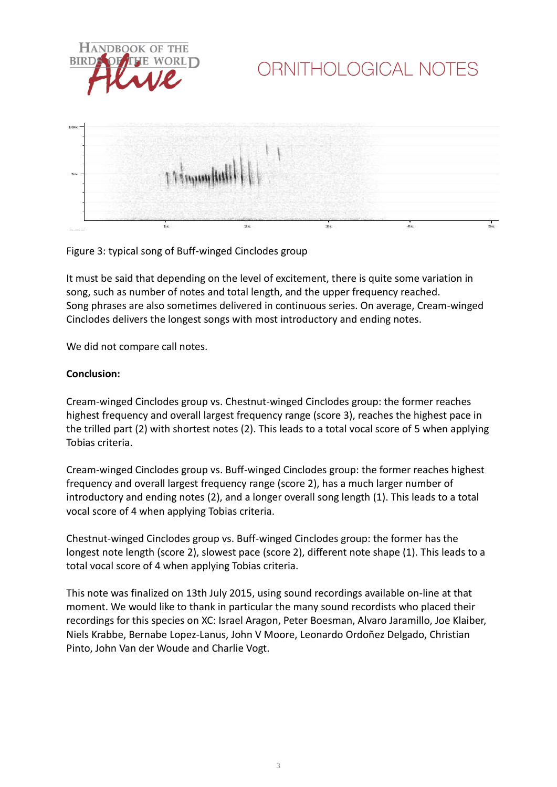

# ORNITHOLOGICAL NOTES





It must be said that depending on the level of excitement, there is quite some variation in song, such as number of notes and total length, and the upper frequency reached. Song phrases are also sometimes delivered in continuous series. On average, Cream-winged Cinclodes delivers the longest songs with most introductory and ending notes.

We did not compare call notes.

### **Conclusion:**

Cream-winged Cinclodes group vs. Chestnut-winged Cinclodes group: the former reaches highest frequency and overall largest frequency range (score 3), reaches the highest pace in the trilled part (2) with shortest notes (2). This leads to a total vocal score of 5 when applying Tobias criteria.

Cream-winged Cinclodes group vs. Buff-winged Cinclodes group: the former reaches highest frequency and overall largest frequency range (score 2), has a much larger number of introductory and ending notes (2), and a longer overall song length (1). This leads to a total vocal score of 4 when applying Tobias criteria.

Chestnut-winged Cinclodes group vs. Buff-winged Cinclodes group: the former has the longest note length (score 2), slowest pace (score 2), different note shape (1). This leads to a total vocal score of 4 when applying Tobias criteria.

This note was finalized on 13th July 2015, using sound recordings available on-line at that moment. We would like to thank in particular the many sound recordists who placed their recordings for this species on XC: Israel Aragon, Peter Boesman, Alvaro Jaramillo, Joe Klaiber, Niels Krabbe, Bernabe Lopez-Lanus, John V Moore, Leonardo Ordoñez Delgado, Christian Pinto, John Van der Woude and Charlie Vogt.